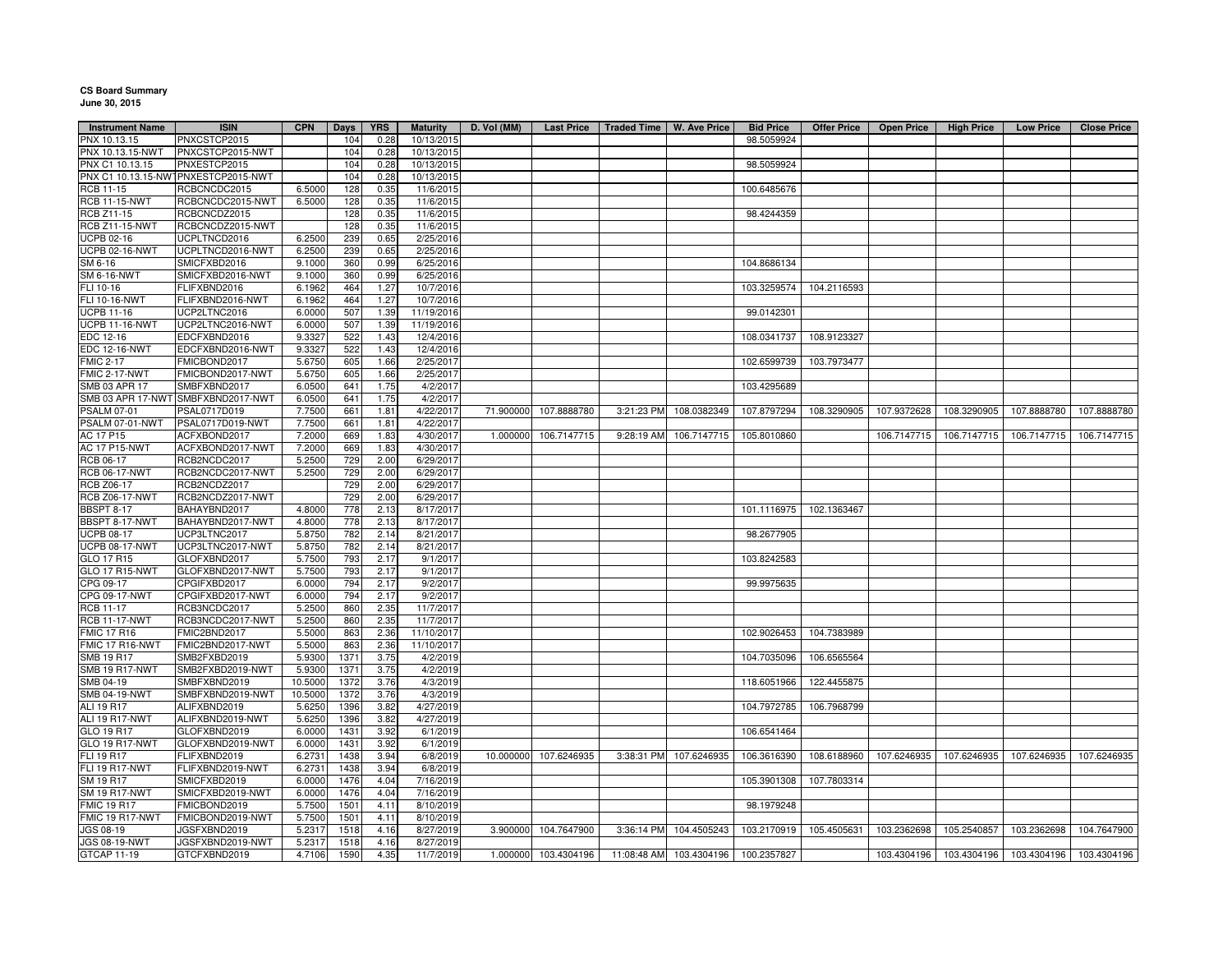## **CS Board Summary June 30, 2015**

| <b>Instrument Name</b> | <b>ISIN</b>                         | <b>CPN</b> | Days | <b>YRS</b> | <b>Maturity</b> | D. Vol (MM) |                      | Last Price   Traded Time   W. Ave Price |                                       | <b>Bid Price</b> | <b>Offer Price</b> | <b>Open Price</b>                   | <b>High Price</b>                                     | <b>Low Price</b> | <b>Close Price</b> |
|------------------------|-------------------------------------|------------|------|------------|-----------------|-------------|----------------------|-----------------------------------------|---------------------------------------|------------------|--------------------|-------------------------------------|-------------------------------------------------------|------------------|--------------------|
| PNX 10.13.15           | PNXCSTCP2015                        |            | 104  | 0.28       | 10/13/2015      |             |                      |                                         |                                       | 98.5059924       |                    |                                     |                                                       |                  |                    |
| PNX 10.13.15-NWT       | PNXCSTCP2015-NWT                    |            | 104  | 0.28       | 10/13/2015      |             |                      |                                         |                                       |                  |                    |                                     |                                                       |                  |                    |
| PNX C1 10.13.15        | PNXESTCP2015                        |            | 104  | 0.28       | 10/13/2015      |             |                      |                                         |                                       | 98.5059924       |                    |                                     |                                                       |                  |                    |
|                        | PNX C1 10.13.15-NWTPNXESTCP2015-NWT |            | 104  | 0.28       | 10/13/2015      |             |                      |                                         |                                       |                  |                    |                                     |                                                       |                  |                    |
| RCB 11-15              | RCBCNCDC2015                        | 6.5000     | 128  | 0.35       | 11/6/2015       |             |                      |                                         |                                       | 100.6485676      |                    |                                     |                                                       |                  |                    |
| <b>RCB 11-15-NWT</b>   | RCBCNCDC2015-NWT                    | 6.5000     | 128  | 0.35       | 11/6/2015       |             |                      |                                         |                                       |                  |                    |                                     |                                                       |                  |                    |
| RCB Z11-15             | RCBCNCDZ2015                        |            | 128  | 0.35       | 11/6/2015       |             |                      |                                         |                                       | 98.4244359       |                    |                                     |                                                       |                  |                    |
| <b>RCB Z11-15-NWT</b>  | RCBCNCDZ2015-NWT                    |            | 128  | 0.35       | 11/6/2015       |             |                      |                                         |                                       |                  |                    |                                     |                                                       |                  |                    |
| <b>UCPB 02-16</b>      | UCPLTNCD2016                        | 6.2500     | 239  | 0.65       | 2/25/2016       |             |                      |                                         |                                       |                  |                    |                                     |                                                       |                  |                    |
| <b>UCPB 02-16-NWT</b>  | UCPLTNCD2016-NWT                    | 6.2500     | 239  | 0.65       | 2/25/2016       |             |                      |                                         |                                       |                  |                    |                                     |                                                       |                  |                    |
| SM 6-16                | SMICFXBD2016                        | 9.1000     | 360  | 0.99       | 6/25/2016       |             |                      |                                         |                                       | 104.8686134      |                    |                                     |                                                       |                  |                    |
| SM 6-16-NWT            | SMICFXBD2016-NWT                    | 9.1000     | 360  | 0.99       | 6/25/2016       |             |                      |                                         |                                       |                  |                    |                                     |                                                       |                  |                    |
| FLI 10-16              | FLIFXBND2016                        | 6.1962     | 464  | 1.27       | 10/7/2016       |             |                      |                                         |                                       | 103.3259574      | 104.2116593        |                                     |                                                       |                  |                    |
| FLI 10-16-NWT          | FLIFXBND2016-NWT                    | 6.1962     | 464  | 1.27       | 10/7/2016       |             |                      |                                         |                                       |                  |                    |                                     |                                                       |                  |                    |
|                        | UCP2LTNC2016                        |            | 507  |            | 11/19/2016      |             |                      |                                         |                                       |                  |                    |                                     |                                                       |                  |                    |
| <b>UCPB 11-16</b>      |                                     | 6.0000     |      | 1.39       |                 |             |                      |                                         |                                       | 99.0142301       |                    |                                     |                                                       |                  |                    |
| <b>UCPB 11-16-NWT</b>  | UCP2LTNC2016-NWT                    | 6.0000     | 507  | 1.39       | 11/19/2016      |             |                      |                                         |                                       |                  |                    |                                     |                                                       |                  |                    |
| EDC 12-16              | EDCFXBND2016                        | 9.3327     | 522  | 1.43       | 12/4/2016       |             |                      |                                         |                                       | 108.0341737      | 108.9123327        |                                     |                                                       |                  |                    |
| <b>EDC 12-16-NWT</b>   | EDCFXBND2016-NWT                    | 9.3327     | 522  | 1.43       | 12/4/2016       |             |                      |                                         |                                       |                  |                    |                                     |                                                       |                  |                    |
| <b>FMIC 2-17</b>       | FMICBOND2017                        | 5.6750     | 605  | 1.66       | 2/25/2017       |             |                      |                                         |                                       | 102.6599739      | 103.7973477        |                                     |                                                       |                  |                    |
| FMIC 2-17-NWT          | FMICBOND2017-NWT                    | 5.6750     | 605  | 1.66       | 2/25/2017       |             |                      |                                         |                                       |                  |                    |                                     |                                                       |                  |                    |
| SMB 03 APR 17          | SMBFXBND2017                        | 6.0500     | 641  | 1.75       | 4/2/2017        |             |                      |                                         |                                       | 103.4295689      |                    |                                     |                                                       |                  |                    |
|                        | SMB 03 APR 17-NWT SMBFXBND2017-NWT  | 6.0500     | 641  | 1.75       | 4/2/2017        |             |                      |                                         |                                       |                  |                    |                                     |                                                       |                  |                    |
| PSALM 07-01            | PSAL0717D019                        | 7.7500     | 661  | 1.81       | 4/22/2017       | 71.900000   | 107.8888780          | 3:21:23 PM                              | 108.0382349                           | 107.8797294      | 108.3290905        | 107.9372628                         | 108.3290905                                           | 107.8888780      | 107.8888780        |
| PSALM 07-01-NWT        | PSAL0717D019-NWT                    | 7.7500     | 661  | 1.81       | 4/22/2017       |             |                      |                                         |                                       |                  |                    |                                     |                                                       |                  |                    |
| AC 17 P15              | ACFXBOND2017                        | 7.2000     | 669  | 1.83       | 4/30/2017       | 1.000000    | 106.7147715          | 9:28:19 AM                              | 106.7147715                           | 105.8010860      |                    | 106.7147715                         | 106.7147715                                           | 106.7147715      | 106.7147715        |
| <b>AC 17 P15-NWT</b>   | ACFXBOND2017-NWT                    | 7.2000     | 669  | 1.83       | 4/30/2017       |             |                      |                                         |                                       |                  |                    |                                     |                                                       |                  |                    |
| RCB 06-17              | RCB2NCDC2017                        | 5.2500     | 729  | 2.00       | 6/29/2017       |             |                      |                                         |                                       |                  |                    |                                     |                                                       |                  |                    |
| <b>RCB 06-17-NWT</b>   | RCB2NCDC2017-NWT                    | 5.2500     | 729  | 2.00       | 6/29/2017       |             |                      |                                         |                                       |                  |                    |                                     |                                                       |                  |                    |
| <b>RCB Z06-17</b>      | RCB2NCDZ2017                        |            | 729  | 2.00       | 6/29/2017       |             |                      |                                         |                                       |                  |                    |                                     |                                                       |                  |                    |
| <b>RCB Z06-17-NWT</b>  | RCB2NCDZ2017-NWT                    |            | 729  | 2.00       | 6/29/2017       |             |                      |                                         |                                       |                  |                    |                                     |                                                       |                  |                    |
| BBSPT 8-17             | BAHAYBND2017                        | 4.8000     | 778  | 2.13       | 8/17/2017       |             |                      |                                         |                                       | 101.1116975      | 102.1363467        |                                     |                                                       |                  |                    |
| BBSPT 8-17-NWT         | BAHAYBND2017-NWT                    | 4.8000     | 778  | 2.13       | 8/17/2017       |             |                      |                                         |                                       |                  |                    |                                     |                                                       |                  |                    |
| <b>UCPB 08-17</b>      | UCP3LTNC2017                        | 5.8750     | 782  | 2.14       | 8/21/2017       |             |                      |                                         |                                       | 98.2677905       |                    |                                     |                                                       |                  |                    |
| <b>UCPB 08-17-NWT</b>  | UCP3LTNC2017-NWT                    | 5.8750     | 782  | 2.14       | 8/21/2017       |             |                      |                                         |                                       |                  |                    |                                     |                                                       |                  |                    |
| GLO 17 R15             | GLOFXBND2017                        | 5.7500     | 793  | 2.17       | 9/1/2017        |             |                      |                                         |                                       | 103.8242583      |                    |                                     |                                                       |                  |                    |
| GLO 17 R15-NWT         | GLOFXBND2017-NWT                    | 5.7500     | 793  | 2.17       | 9/1/2017        |             |                      |                                         |                                       |                  |                    |                                     |                                                       |                  |                    |
| CPG 09-17              | CPGIFXBD2017                        | 6.0000     | 794  | 2.17       | 9/2/2017        |             |                      |                                         |                                       | 99.9975635       |                    |                                     |                                                       |                  |                    |
| CPG 09-17-NWT          | CPGIFXBD2017-NWT                    | 6.0000     | 794  | 2.17       | 9/2/2017        |             |                      |                                         |                                       |                  |                    |                                     |                                                       |                  |                    |
| <b>RCB 11-17</b>       | RCB3NCDC2017                        | 5.2500     | 860  | 2.35       | 11/7/2017       |             |                      |                                         |                                       |                  |                    |                                     |                                                       |                  |                    |
| <b>RCB 11-17-NWT</b>   | RCB3NCDC2017-NWT                    | 5.2500     | 860  | 2.35       | 11/7/2017       |             |                      |                                         |                                       |                  |                    |                                     |                                                       |                  |                    |
| <b>FMIC 17 R16</b>     | FMIC2BND2017                        | 5.5000     | 863  | 2.36       | 11/10/2017      |             |                      |                                         |                                       | 102.9026453      | 104.7383989        |                                     |                                                       |                  |                    |
| FMIC 17 R16-NWT        | FMIC2BND2017-NWT                    | 5.5000     | 863  | 2.36       | 11/10/2017      |             |                      |                                         |                                       |                  |                    |                                     |                                                       |                  |                    |
| SMB 19 R17             | SMB2FXBD2019                        | 5.9300     | 1371 | 3.75       | 4/2/2019        |             |                      |                                         |                                       | 104.7035096      | 106.6565564        |                                     |                                                       |                  |                    |
| <b>SMB 19 R17-NWT</b>  | SMB2FXBD2019-NWT                    | 5.9300     | 1371 | 3.75       | 4/2/2019        |             |                      |                                         |                                       |                  |                    |                                     |                                                       |                  |                    |
| SMB 04-19              | SMBFXBND2019                        | 10.500     | 1372 | 3.76       | 4/3/2019        |             |                      |                                         |                                       | 118.6051966      | 122.4455875        |                                     |                                                       |                  |                    |
| SMB 04-19-NWT          | SMBFXBND2019-NWT                    |            |      |            | 4/3/2019        |             |                      |                                         |                                       |                  |                    |                                     |                                                       |                  |                    |
|                        |                                     | 10.5000    | 1372 | 3.76       |                 |             |                      |                                         |                                       |                  |                    |                                     |                                                       |                  |                    |
| <b>ALI 19 R17</b>      | ALIFXBND2019                        | 5.6250     | 1396 | 3.82       | 4/27/2019       |             |                      |                                         |                                       | 104.7972785      | 106.7968799        |                                     |                                                       |                  |                    |
| ALI 19 R17-NWT         | ALIFXBND2019-NWT                    | 5.6250     | 1396 | 3.82       | 4/27/2019       |             |                      |                                         |                                       |                  |                    |                                     |                                                       |                  |                    |
| GLO 19 R17             | GLOFXBND2019                        | 6.0000     | 1431 | 3.92       | 6/1/2019        |             |                      |                                         |                                       | 106.6541464      |                    |                                     |                                                       |                  |                    |
| GLO 19 R17-NWT         | GLOFXBND2019-NWT                    | 6.0000     | 1431 | 3.92       | 6/1/2019        |             |                      |                                         |                                       |                  |                    |                                     |                                                       |                  |                    |
| FLI 19 R17             | FLIFXBND2019                        | 6.2731     | 1438 | 3.94       | 6/8/2019        | 10.000000   | 107.6246935          |                                         | 3:38:31 PM 107.6246935                | 106.3616390      |                    | 108.6188960 107.6246935 107.6246935 |                                                       | 107.6246935      | 107.6246935        |
| FLI 19 R17-NWT         | FLIFXBND2019-NWT                    | 6.2731     | 1438 | 3.94       | 6/8/2019        |             |                      |                                         |                                       |                  |                    |                                     |                                                       |                  |                    |
| SM 19 R17              | SMICFXBD2019                        | 6.0000     | 1476 | 4.04       | 7/16/2019       |             |                      |                                         |                                       | 105.3901308      | 107.7803314        |                                     |                                                       |                  |                    |
| <b>SM 19 R17-NWT</b>   | SMICFXBD2019-NWT                    | 6.0000     | 1476 | 4.04       | 7/16/2019       |             |                      |                                         |                                       |                  |                    |                                     |                                                       |                  |                    |
| <b>FMIC 19 R17</b>     | FMICBOND2019                        | 5.7500     | 1501 | 4.11       | 8/10/2019       |             |                      |                                         |                                       | 98.1979248       |                    |                                     |                                                       |                  |                    |
| FMIC 19 R17-NWT        | FMICBOND2019-NWT                    | 5.7500     | 1501 | 4.11       | 8/10/2019       |             |                      |                                         |                                       |                  |                    |                                     |                                                       |                  |                    |
| JGS 08-19              | JGSFXBND2019                        | 5.2317     | 1518 | 4.16       | 8/27/2019       | 3.900000    | 104.7647900          | 3:36:14 PM                              | 104.4505243                           | 103.2170919      | 105.4505631        | 103.2362698                         | 105.2540857                                           | 103.2362698      | 104.7647900        |
| JGS 08-19-NWT          | JGSFXBND2019-NWT                    | 5.2317     | 1518 | 4.16       | 8/27/2019       |             |                      |                                         |                                       |                  |                    |                                     |                                                       |                  |                    |
| GTCAP 11-19            | GTCFXBND2019                        | 4.7106     | 1590 | 4.35       | 11/7/2019       |             | 1.000000 103.4304196 |                                         | 11:08:48 AM  103.4304196  100.2357827 |                  |                    |                                     | 103.4304196   103.4304196   103.4304196   103.4304196 |                  |                    |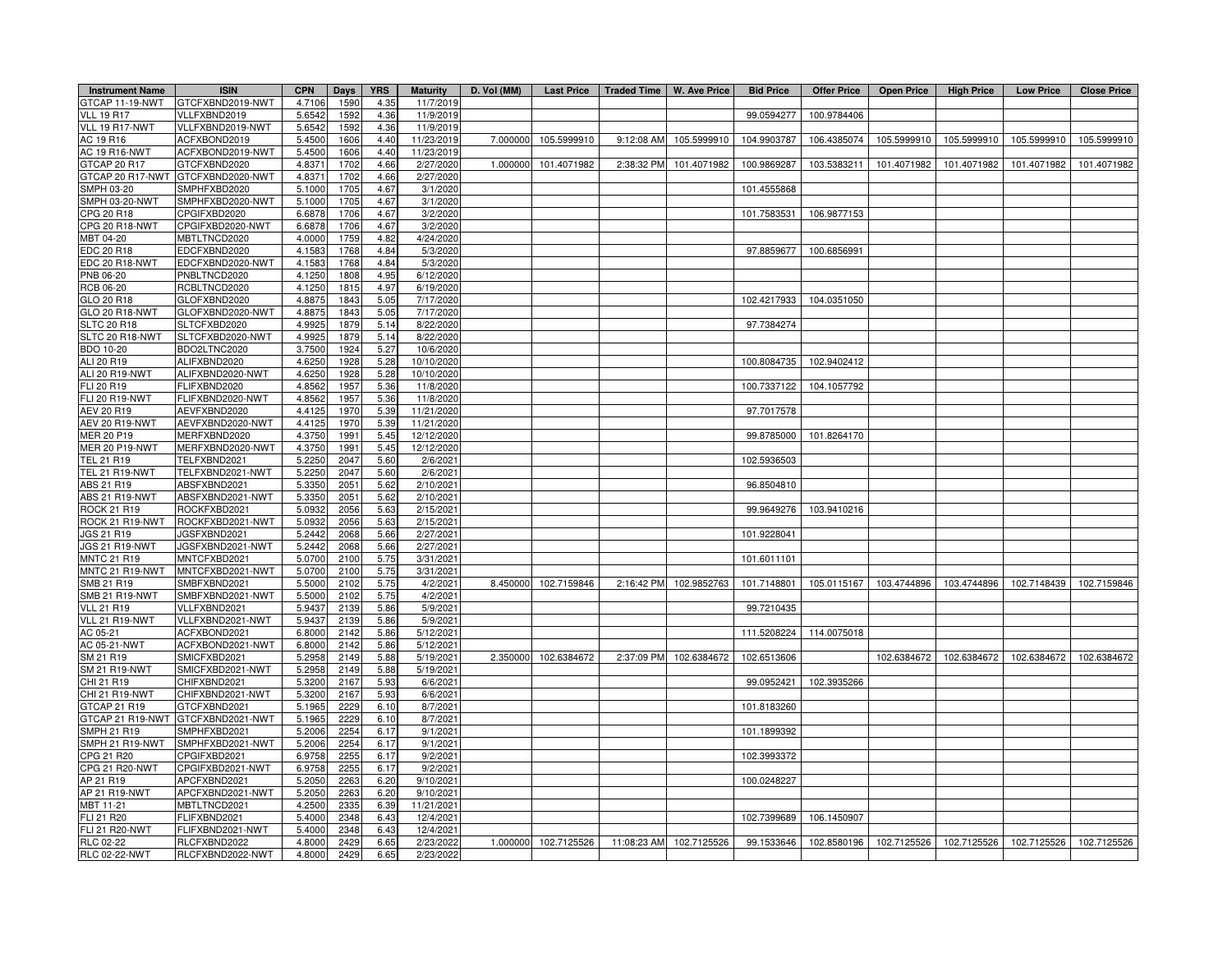| <b>Instrument Name</b>               | <b>ISIN</b>                       | <b>CPN</b> | Days         | <b>YRS</b> | <b>Maturity</b>        | D. Vol (MM) |                      | Last Price   Traded Time   W. Ave Price |                         | <b>Bid Price</b> | Offer Price | <b>Open Price</b>       | High Price  | <b>Low Price</b>        | <b>Close Price</b> |
|--------------------------------------|-----------------------------------|------------|--------------|------------|------------------------|-------------|----------------------|-----------------------------------------|-------------------------|------------------|-------------|-------------------------|-------------|-------------------------|--------------------|
| GTCAP 11-19-NWT                      | GTCFXBND2019-NWT                  | 4.7106     | 1590         | 4.35       | 11/7/2019              |             |                      |                                         |                         |                  |             |                         |             |                         |                    |
| <b>VLL 19 R17</b>                    | VLLFXBND2019                      | 5.6542     | 1592         | 4.36       | 11/9/2019              |             |                      |                                         |                         | 99.0594277       | 100.9784406 |                         |             |                         |                    |
| VLL 19 R17-NWT                       | VLLFXBND2019-NWT                  | 5.6542     | 1592         | 4.36       | 11/9/2019              |             |                      |                                         |                         |                  |             |                         |             |                         |                    |
| AC 19 R16                            | ACFXBOND2019                      | 5.4500     | 1606         | 4.40       | 11/23/2019             | 7.000000    | 105.5999910          | 9:12:08 AM                              | 105.5999910             | 104.9903787      | 106.4385074 | 105.5999910             | 105.5999910 | 105.5999910             | 105.5999910        |
| AC 19 R16-NWT                        | ACFXBOND2019-NWT                  | 5.4500     | 1606         | 4.40       | 11/23/2019             |             |                      |                                         |                         |                  |             |                         |             |                         |                    |
| GTCAP 20 R17                         | GTCFXBND2020                      | 4.837      | 1702         | 4.66       | 2/27/2020              | 1.000000    | 101.4071982          | 2:38:32 PM                              | 101.4071982             | 100.9869287      | 103.5383211 | 101.4071982             | 101.4071982 | 101.4071982             | 101.4071982        |
|                                      | GTCAP 20 R17-NWT GTCFXBND2020-NWT | 4.8371     | 1702         | 4.66       | 2/27/2020              |             |                      |                                         |                         |                  |             |                         |             |                         |                    |
| SMPH 03-20                           | SMPHFXBD2020                      | 5.1000     | 1705         | 4.67       | 3/1/2020               |             |                      |                                         |                         | 101.4555868      |             |                         |             |                         |                    |
| SMPH 03-20-NWT                       | SMPHFXBD2020-NWT                  | 5.100      | 1705         | 4.67       | 3/1/2020               |             |                      |                                         |                         |                  |             |                         |             |                         |                    |
| CPG 20 R18                           | CPGIFXBD2020                      | 6.6878     | 1706         | 4.67       | 3/2/2020               |             |                      |                                         |                         | 101.7583531      | 106.9877153 |                         |             |                         |                    |
| CPG 20 R18-NWT                       | CPGIFXBD2020-NWT                  | 6.6878     | 1706         | 4.67       | 3/2/2020               |             |                      |                                         |                         |                  |             |                         |             |                         |                    |
| MBT 04-20                            | MBTLTNCD2020                      | 4.000      | 1759         | 4.82       | 4/24/2020              |             |                      |                                         |                         |                  |             |                         |             |                         |                    |
| EDC 20 R18                           | EDCFXBND2020                      | 4.1583     | 1768         | 4.84       | 5/3/2020               |             |                      |                                         |                         | 97.8859677       | 100.6856991 |                         |             |                         |                    |
| EDC 20 R18-NWT                       | EDCFXBND2020-NWT                  | 4.1583     | 1768         | 4.84       | 5/3/2020               |             |                      |                                         |                         |                  |             |                         |             |                         |                    |
| PNB 06-20                            | PNBLTNCD2020                      | 4.1250     | 1808         | 4.95       | 6/12/2020              |             |                      |                                         |                         |                  |             |                         |             |                         |                    |
| RCB 06-20                            | RCBLTNCD2020                      | 4.1250     | 1815         | 4.97       | 6/19/2020              |             |                      |                                         |                         |                  |             |                         |             |                         |                    |
| GLO 20 R18                           | GLOFXBND2020                      | 4.887      | 1843         | 5.05       | 7/17/2020              |             |                      |                                         |                         | 102.4217933      | 104.0351050 |                         |             |                         |                    |
| GLO 20 R18-NWT                       | GLOFXBND2020-NWT                  | 4.8875     | 1843         | 5.05       | 7/17/2020              |             |                      |                                         |                         |                  |             |                         |             |                         |                    |
| <b>SLTC 20 R18</b>                   | SLTCFXBD2020                      | 4.992      | 1879         | 5.14       | 8/22/2020              |             |                      |                                         |                         | 97.7384274       |             |                         |             |                         |                    |
| SLTC 20 R18-NWT                      | SLTCFXBD2020-NWT                  | 4.9925     | 1879         | 5.14       | 8/22/2020              |             |                      |                                         |                         |                  |             |                         |             |                         |                    |
| BDO 10-20                            | BDO2LTNC2020                      | 3.7500     | 1924         | 5.27       | 10/6/2020              |             |                      |                                         |                         |                  |             |                         |             |                         |                    |
| ALI 20 R19                           | ALIFXBND2020                      | 4.6250     | 1928         | 5.28       | 10/10/2020             |             |                      |                                         |                         | 100.8084735      | 102.9402412 |                         |             |                         |                    |
| ALI 20 R19-NWT                       | ALIFXBND2020-NWT                  | 4.6250     | 1928         | 5.28       | 10/10/2020             |             |                      |                                         |                         |                  |             |                         |             |                         |                    |
| FLI 20 R19                           | FLIFXBND2020                      | 4.8562     | 1957         | 5.36       | 11/8/2020              |             |                      |                                         |                         | 100.7337122      | 104.1057792 |                         |             |                         |                    |
| <b>FLI 20 R19-NWT</b>                | FLIFXBND2020-NWT                  | 4.856      | 1957         | 5.36       | 11/8/2020              |             |                      |                                         |                         |                  |             |                         |             |                         |                    |
| AEV 20 R19                           | AEVFXBND2020                      | 4.4125     | 1970         | 5.39       | 11/21/2020             |             |                      |                                         |                         | 97.7017578       |             |                         |             |                         |                    |
| AEV 20 R19-NWT                       | AEVFXBND2020-NWT                  | 4.4125     | 1970         | 5.39       | 11/21/2020             |             |                      |                                         |                         |                  |             |                         |             |                         |                    |
| MER 20 P19                           | MERFXBND2020                      | 4.3750     | 1991         | 5.45       | 12/12/2020             |             |                      |                                         |                         | 99.8785000       | 101.8264170 |                         |             |                         |                    |
| <b>MER 20 P19-NWT</b>                | MERFXBND2020-NWT                  | 4.3750     | 1991         | 5.45       | 12/12/2020             |             |                      |                                         |                         |                  |             |                         |             |                         |                    |
| TEL 21 R19                           | TELFXBND2021                      | 5.2250     | 2047         | 5.60       | 2/6/2021               |             |                      |                                         |                         | 102.5936503      |             |                         |             |                         |                    |
| <b>TEL 21 R19-NWT</b>                | TELFXBND2021-NWT                  | 5.2250     | 2047         | 5.60       | 2/6/2021               |             |                      |                                         |                         |                  |             |                         |             |                         |                    |
| ABS 21 R19                           | ABSFXBND2021                      | 5.3350     | 2051         | 5.62       | 2/10/2021              |             |                      |                                         |                         | 96.8504810       |             |                         |             |                         |                    |
| <b>ABS 21 R19-NWT</b>                | ABSFXBND2021-NWT                  | 5.3350     | 2051         | 5.62       | 2/10/2021              |             |                      |                                         |                         |                  |             |                         |             |                         |                    |
| <b>ROCK 21 R19</b>                   | ROCKFXBD2021                      | 5.0932     | 2056         | 5.63       | 2/15/2021              |             |                      |                                         |                         | 99.9649276       | 103.9410216 |                         |             |                         |                    |
| ROCK 21 R19-NWT                      | ROCKFXBD2021-NWT                  | 5.093      | 2056         | 5.63       | 2/15/2021              |             |                      |                                         |                         |                  |             |                         |             |                         |                    |
| JGS 21 R19                           | JGSFXBND2021                      | 5.244      | 2068         | 5.66       | 2/27/2021              |             |                      |                                         |                         | 101.9228041      |             |                         |             |                         |                    |
|                                      |                                   | 5.2442     |              | 5.66       |                        |             |                      |                                         |                         |                  |             |                         |             |                         |                    |
| JGS 21 R19-NWT<br><b>MNTC 21 R19</b> | JGSFXBND2021-NWT<br>MNTCFXBD2021  | 5.070      | 2068<br>2100 | 5.75       | 2/27/2021<br>3/31/2021 |             |                      |                                         |                         | 101.6011101      |             |                         |             |                         |                    |
| MNTC 21 R19-NWT                      | MNTCFXBD2021-NWT                  | 5.070      | 2100         | 5.75       | 3/31/2021              |             |                      |                                         |                         |                  |             |                         |             |                         |                    |
| SMB 21 R19                           | SMBFXBND2021                      |            |              |            | 4/2/2021               |             | 8.450000 102.7159846 |                                         | 2:16:42 PM 102.9852763  | 101.7148801      | 105.0115167 | 103.4744896             | 103.4744896 | 102.7148439             |                    |
|                                      |                                   | 5.500      | 2102         | 5.75       |                        |             |                      |                                         |                         |                  |             |                         |             |                         | 102.7159846        |
| SMB 21 R19-NWT<br><b>VLL 21 R19</b>  | SMBFXBND2021-NWT                  | 5.500      | 2102         | 5.75       | 4/2/2021               |             |                      |                                         |                         |                  |             |                         |             |                         |                    |
|                                      | VLLFXBND2021                      | 5.943      | 2139         | 5.86       | 5/9/2021               |             |                      |                                         |                         | 99.7210435       |             |                         |             |                         |                    |
| VLL 21 R19-NWT                       | VLLFXBND2021-NWT                  | 5.9437     | 2139         | 5.86       | 5/9/2021               |             |                      |                                         |                         |                  |             |                         |             |                         |                    |
| AC 05-21                             | ACFXBOND2021                      | 6.800      | 2142         | 5.86       | 5/12/2021              |             |                      |                                         |                         | 111.5208224      | 114.0075018 |                         |             |                         |                    |
| AC 05-21-NWT                         | ACFXBOND2021-NWT                  | 6.8000     | 2142         | 5.86       | 5/12/2021              |             |                      |                                         |                         |                  |             |                         |             |                         |                    |
| SM 21 R19                            | SMICFXBD2021                      | 5.2958     | 2149         | 5.88       | 5/19/2021              | 2.350000    | 102.6384672          | 2:37:09 PM                              | 102.6384672             | 102.6513606      |             | 102.6384672             | 102.6384672 | 102.6384672             | 102.6384672        |
| SM 21 R19-NWT                        | SMICFXBD2021-NWT                  | 5.2958     | 2149         | 5.88       | 5/19/2021              |             |                      |                                         |                         |                  |             |                         |             |                         |                    |
| CHI 21 R19                           | CHIFXBND2021                      | 5.3200     | 2167         | 5.93       | 6/6/2021               |             |                      |                                         |                         | 99.0952421       | 102.3935266 |                         |             |                         |                    |
| CHI 21 R19-NWT                       | CHIFXBND2021-NWT                  | 5.3200     | 2167         | 5.93       | 6/6/2021               |             |                      |                                         |                         |                  |             |                         |             |                         |                    |
| GTCAP 21 R19                         | GTCFXBND2021                      | 5.1965     | 2229         | 6.10       | 8/7/2021               |             |                      |                                         |                         | 101.8183260      |             |                         |             |                         |                    |
|                                      | GTCAP 21 R19-NWT GTCFXBND2021-NWT | 5.1965     | 2229         | 6.10       | 8/7/2021               |             |                      |                                         |                         |                  |             |                         |             |                         |                    |
| SMPH 21 R19                          | SMPHFXBD2021                      | 5.200      | 2254         | 6.17       | 9/1/2021               |             |                      |                                         |                         | 101.1899392      |             |                         |             |                         |                    |
| SMPH 21 R19-NWT                      | SMPHFXBD2021-NWT                  | 5.2006     | 2254         | 6.17       | 9/1/2021               |             |                      |                                         |                         |                  |             |                         |             |                         |                    |
| CPG 21 R20                           | CPGIFXBD2021                      | 6.9758     | 2255         | 6.17       | 9/2/2021               |             |                      |                                         |                         | 102.3993372      |             |                         |             |                         |                    |
| CPG 21 R20-NWT                       | CPGIFXBD2021-NWT                  | 6.9758     | 2255         | 6.17       | 9/2/2021               |             |                      |                                         |                         |                  |             |                         |             |                         |                    |
| AP 21 R19                            | APCFXBND2021                      | 5.2050     | 2263         | 6.20       | 9/10/2021              |             |                      |                                         |                         | 100.0248227      |             |                         |             |                         |                    |
| AP 21 R19-NWT                        | APCFXBND2021-NWT                  | 5.2050     | 2263         | 6.20       | 9/10/2021              |             |                      |                                         |                         |                  |             |                         |             |                         |                    |
| MBT 11-21                            | MBTLTNCD2021                      | 4.2500     | 2335         | 6.39       | 11/21/2021             |             |                      |                                         |                         |                  |             |                         |             |                         |                    |
| FLI 21 R20                           | FLIFXBND2021                      | 5.4000     | 2348         | 6.43       | 12/4/2021              |             |                      |                                         |                         | 102.7399689      | 106.1450907 |                         |             |                         |                    |
| <b>FLI 21 R20-NWT</b>                | FLIFXBND2021-NWT                  | 5.400      | 2348         | 6.43       | 12/4/2021              |             |                      |                                         |                         |                  |             |                         |             |                         |                    |
| <b>RLC 02-22</b>                     | RLCFXBND2022                      | 4.8000     | 2429         | 6.65       | 2/23/2022              | 1.000000    | 102.7125526          |                                         | 11:08:23 AM 102.7125526 | 99.1533646       |             | 102.8580196 102.7125526 |             | 102.7125526 102.7125526 | 102.7125526        |
| <b>RLC 02-22-NWT</b>                 | RLCFXBND2022-NWT                  | 4.8000     | 2429         | 6.65       | 2/23/2022              |             |                      |                                         |                         |                  |             |                         |             |                         |                    |